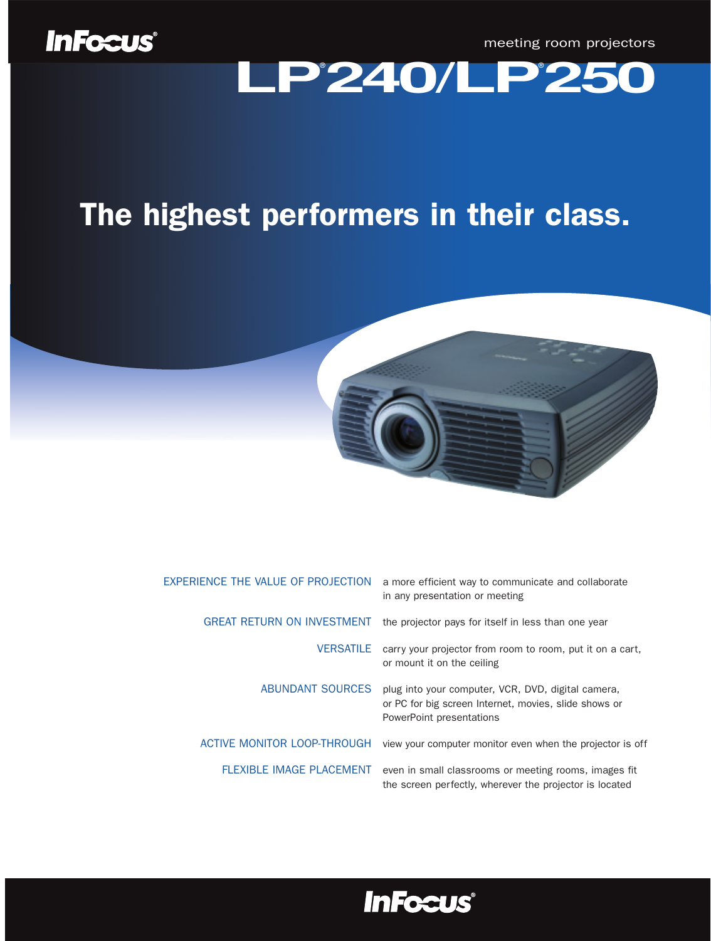meeting room projectors

# meeting room projectors

### The highest performers in their class.



| EXPERIENCE THE VALUE OF PROJECTION | a more efficient way to communicate and collaborate<br>in any presentation or meeting                                                   |
|------------------------------------|-----------------------------------------------------------------------------------------------------------------------------------------|
| <b>GREAT RETURN ON INVESTMENT</b>  | the projector pays for itself in less than one year                                                                                     |
| <b>VERSATILE</b>                   | carry your projector from room to room, put it on a cart,<br>or mount it on the ceiling                                                 |
| ABUNDANT SOURCES                   | plug into your computer, VCR, DVD, digital camera,<br>or PC for big screen Internet, movies, slide shows or<br>PowerPoint presentations |
| ACTIVE MONITOR LOOP-THROUGH        | view your computer monitor even when the projector is off                                                                               |
| <b>FLEXIBLE IMAGE PLACEMENT</b>    | even in small classrooms or meeting rooms, images fit<br>the screen perfectly, wherever the projector is located                        |

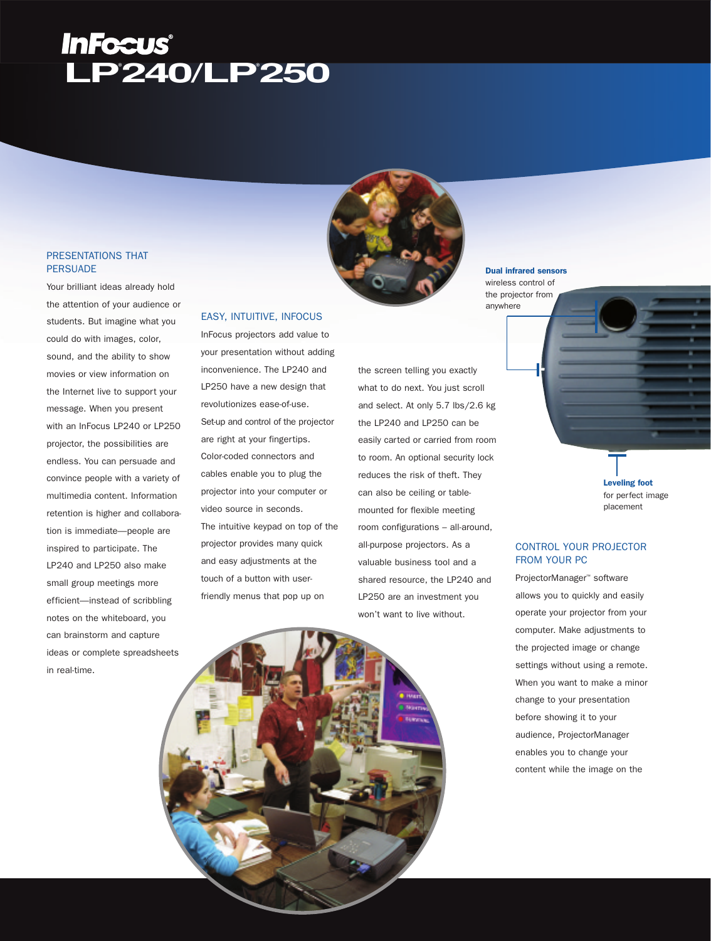## **LP® 240/LP® 250**

#### PRESENTATIONS THAT **PERSUADE**

Your brilliant ideas already hold the attention of your audience or students. But imagine what you could do with images, color, sound, and the ability to show movies or view information on the Internet live to support your message. When you present with an InFocus LP240 or LP250 projector, the possibilities are endless. You can persuade and convince people with a variety of multimedia content. Information retention is higher and collaboration is immediate—people are inspired to participate. The LP240 and LP250 also make small group meetings more efficient—instead of scribbling notes on the whiteboard, you can brainstorm and capture ideas or complete spreadsheets in real-time.



#### EASY, INTUITIVE, INFOCUS

InFocus projectors add value to your presentation without adding inconvenience. The LP240 and LP250 have a new design that revolutionizes ease-of-use. Set-up and control of the projector are right at your fingertips. Color-coded connectors and cables enable you to plug the projector into your computer or video source in seconds. The intuitive keypad on top of the projector provides many quick and easy adjustments at the touch of a button with userfriendly menus that pop up on

the screen telling you exactly what to do next. You just scroll and select. At only 5.7 lbs/2.6 kg the LP240 and LP250 can be easily carted or carried from room to room. An optional security lock reduces the risk of theft. They can also be ceiling or tablemounted for flexible meeting room configurations – all-around, all-purpose projectors. As a valuable business tool and a shared resource, the LP240 and LP250 are an investment you won't want to live without.

#### Dual infrared sensors

wireless control of the projector from anywhere

> Leveling foot for perfect image placement

#### CONTROL YOUR PROJECTOR FROM YOUR PC

ProjectorManager™ software allows you to quickly and easily operate your projector from your computer. Make adjustments to the projected image or change settings without using a remote. When you want to make a minor change to your presentation before showing it to your audience, ProjectorManager enables you to change your content while the image on the

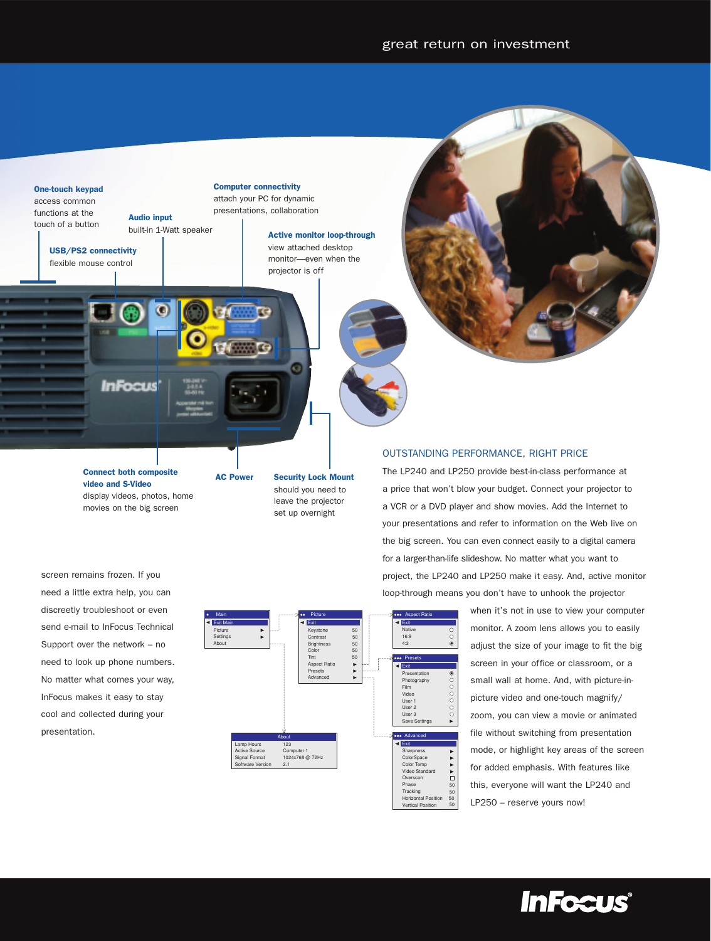#### One-touch keypad

access common functions at the touch of a button

Audio input built-in 1-Watt speaker

USB/PS2 connectivity flexible mouse control

Computer connectivity attach your PC for dynamic presentations, collaboration

> Active monitor loop-through view attached desktop monitor—even when the projector is off



Connect both composite<br>
AC Power video and S-Video display videos, photos, home movies on the big screen

**InFocus** 

Security Lock Mount should you need to leave the projector

set up overnight

o

#### OUTSTANDING PERFORMANCE, RIGHT PRICE

The LP240 and LP250 provide best-in-class performance at a price that won't blow your budget. Connect your projector to a VCR or a DVD player and show movies. Add the Internet to your presentations and refer to information on the Web live on the big screen. You can even connect easily to a digital camera for a larger-than-life slideshow. No matter what you want to project, the LP240 and LP250 make it easy. And, active monitor loop-through means you don't have to unhook the projector

> when it's not in use to view your computer monitor. A zoom lens allows you to easily adjust the size of your image to fit the big screen in your office or classroom, or a small wall at home. And, with picture-inpicture video and one-touch magnify/ zoom, you can view a movie or animated file without switching from presentation mode, or highlight key areas of the screen for added emphasis. With features like this, everyone will want the LP240 and LP250 – reserve yours now!





al Positi ertical Position

50 50